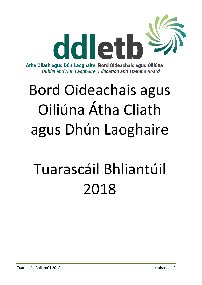

Átha Cliath agus Dún Laoghaire Bord Oideachais agus Oiliúna Dublin and Dún Laoghaire Education and Training Board

# Bord Oideachais agus Oiliúna Átha Cliath agus Dhún Laoghaire

# Tuarascáil Bhliantúil 2018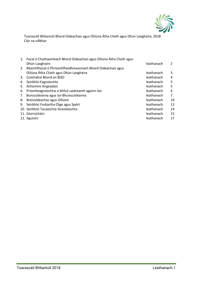

Tuarascáil Bhliantúil Bhord Oideachais agus Oiliúna Átha Cliath agus Dhún Laoghaire, 2018 Clár na nÁbhar

|    | 1. Focal ó Chathaoirleach Bhord Oideachais agus Oiliúna Átha Cliath agus |            |    |
|----|--------------------------------------------------------------------------|------------|----|
|    | Dhún Laoghaire                                                           | leathanach |    |
|    | 2. Réamhfhocal ó Phríomhfheidhmeannach Bhord Oideachais agus             |            |    |
|    | Oiliúna Átha Cliath agus Dhún Laoghaire                                  | leathanach | 3  |
| 3. | Comhaltaí Bhord an BOO                                                   | leathanach | 4  |
| 4. | Seirbhísí Eagraíochta                                                    | leathanach | 5  |
| 5. | Achoimre Airgeadais                                                      | leathanach | 5  |
| 6. | Príomheagraíochtaí a bhfuil caidreamh againn leo                         | leathanach | 6  |
| 7. | Bunscoileanna agus Iar-Bhunscoileanna                                    | leathanach | 7  |
| 8. | Breisoideachas agus Oiliúint                                             | leathanach | 10 |
| 9. | Seirbhísí Forbartha Óige agus Spórt                                      | leathanach | 12 |
|    | 10. Seirbhísí Tacaíochta Síceolaíochta                                   | leathanach | 14 |
|    | 11. Giorrúcháin                                                          | leathanach | 15 |
|    | 12. Aguisíní                                                             | leathanach | 17 |
|    |                                                                          |            |    |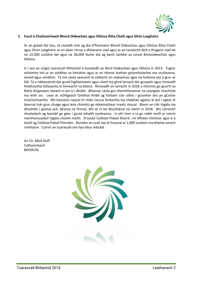

#### **1. Focal ó Chathaoirleach Bhord Oideachais agus Oiliúna Átha Cliath agus Dhún Laoghaire**

Ar an gcéad dul síos, tá moladh mór ag dul d'fhoireann Bhord Oideachais agus Oiliúna Átha Cliath agus Dhún Laoghaire as an obair chrua a dhéanann siad agus as an tacaíocht lách a thugann siad do na 22,000 scoláire lae agus na 28,000 duine atá ag baint tairbhe as cúrsaí Breisoideachais agus Oiliúna.

Is í seo an cúigiú tuarascáil bhliantúil ó bunaíodh an Bord Oideachais agus Oiliúna in 2013. Tugtar achoimre inti ar an soláthar sa limistéar agus ar an réimse leathan gníomhaíochta sna scoileanna, ionaid agus seirbhísí. Tá mé sásta seasamh le cáilíocht an oideachais agus na hoiliúna atá á gcur ar fáil. Tá a ndéanaimid dár gcuid foghlaimeoirí agus cliant ina ghné lárnach dár gcuspóir agus rinneadh feabhsuithe follasacha le himeacht na bliana. Rinneadh an-iarracht in 2018 a chinntiú go gcuirfí na Ráitis Airgeadais isteach in am is i dtráth. Bhíomar sásta gur chomhlíonamar na ceanglais reachtúla ina leith sin. Lean ár nOifigeach Gnóthaí Poiblí ag forbairt clár oibre i gcomhar leis an gCoiste Iniúchóireachta. Bhí bainistiú rioscaí trí chlár rioscaí forbartha ina chabhair againn le dul i ngleic le bearnaí inár gcur chuige agus lena chinntiú go mbainistítear maolú rioscaí. Bíonn an clár tógála ina dhúshlán i gcónaí ach, déanta na fírinne, bhí sé ní ba dhúshlánaí ná riamh in 2018. Bhí cóiríocht shealadach ag teastáil go géar i gcuid mhaith scoileanna. Is oth liom a rá go raibh moill ar roinnt mórthionscadail tógála chomh maith. D'oscail Coláiste Pobail Shoird i mí Mheán Fómhair agus é á óstáil ag Coláiste Pobail Fhinnéin. Bunófar an scoil seo le freastal ar 1,000 scoláire sna blianta amach romhainn. Cuirim an tuarascáil seo faoi bhur mbráid.

An Clr. Mick Duff Cathaoirleach BOOÁCDL

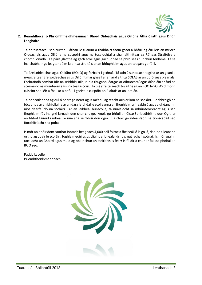

# **2. Réamhfhocal ó Phríomhfheidhmeannach Bhord Oideachais agus Oiliúna Átha Cliath agus Dhún Laoghaire**

Tá an tuarascáil seo curtha i láthair le tuairim a thabhairt faoin gcaoi a bhfuil ag éirí leis an mBord Oideachais agus Oiliúna na cuspóirí agus na tosaíochtaí a shainaithnítear sa Ráiteas Straitéise a chomhlíonadh. Tá páirt glactha ag gach scoil agus gach ionad sa phróiseas cur chun feidhme. Tá sé ina chabhair go leagtar béim láidir sa straitéis ar an bhfoghlaim agus an teagasc go fóill.

Tá Breisoideachas agus Oiliúint (BOaO) ag forbairt i gcónaí. Tá athrú suntasach tagtha ar an gcaoi a n-eagraítear Breisoideachas agus Oiliúint mar gheall ar an aird a thug SOLAS ar an bpróiseas pleanála. Forbraíodh comhar idir na seirbhísí uile, rud a thugann léargas ar oibríochtaí agus dúshláin ar fud na scéime do na múinteoirí agus na teagascóirí. Tá plé straitéiseach tosaithe ag an BOO le SOLAS d'fhonn tuiscint shoiléir a fháil ar a bhfuil i gceist le cuspóirí an Rialtais ar an iomlán.

Tá na scoileanna ag dul ó neart go neart agus méadú ag teacht arís ar líon na scoláirí. Chabhraigh an fócas nua ar an bhfolláine ar an dara leibhéal le scoileanna an fhoghlaim a fheabhsú agus a dhéanamh níos dearfaí do na scoláirí. Ar an leibhéal bunscoile, tá nuálaíocht sa mhúinteoireacht agus san fhoghlaim fós ina gné lárnach den chur chuige. Anois go bhfuil an Ciste Spriocdhírithe don Ógra ar an bhfód táimid i mbéal ré nua sna seirbhísí don ógra. Ba chóir go ndéanfadh na tionscadail seo fíordhifríocht sna pobail.

Is mór an onóir dom saothar iontach beagnach 4,000 ball foirne a fheiceáil ó lá go lá, daoine a leanann orthu ag obair le scoláirí, foghlaimeoirí agus cliaint ar bhealaí úrnua, nuálacha i gcónaí. Is mór againn tacaíocht an Bhoird agus muid ag obair chun an tseirbhís is fearr is féidir a chur ar fáil do phobal an BOO seo.

Paddy Lavelle Príomhfheidhmeannach

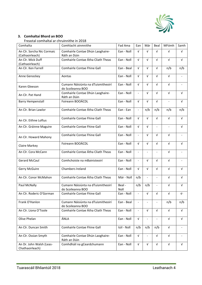

# **3. Comhaltaí Bhord an BOO**

Freastal comhaltaí ar chruinnithe in 2018

| Comhalta                                      | Comhlacht ainmnithe                                     | Fad Ama        | Ean                      | Már                      | Beal                     | MFómh                    | Samh       |
|-----------------------------------------------|---------------------------------------------------------|----------------|--------------------------|--------------------------|--------------------------|--------------------------|------------|
|                                               |                                                         |                |                          |                          |                          |                          |            |
| An Clr. Sorcha Nic Cormaic<br>(Cathaoirleach) | Comhairle Contae Dhún Laoghaire-<br>Ráth an Dúin        | Ean - Noll     | $\sqrt{ }$               | $\sqrt{ }$               | V                        | $\sqrt{ }$               | V          |
| An Clr. Mick Duff                             | Comhairle Contae Átha Cliath Theas                      | Ean - Noll     | $\sqrt{ }$               | V                        | V                        | $\sqrt{ }$               | $\sqrt{ }$ |
| (Cathaoirleach)                               |                                                         |                |                          |                          |                          |                          |            |
| An Clr. Ken Farrell                           | Comhairle Contae Fhine Gall                             | Ean - Beal     | V                        | V                        | $\sqrt{ }$               | n/b                      | n/b        |
| Anne Genockey                                 | Aontas                                                  | Ean - Noll     | $\sqrt{ }$               | V                        | $\sqrt{ }$               | $\sqrt{ }$               |            |
| Karen Gleeson                                 | Cumann Náisiúnta na dTuismitheoirí<br>do Scoileanna BOO | Ean - Noll     | V                        | V                        | $\sqrt{ }$               | $\sqrt{ }$               |            |
| An Clr. Pat Hand                              | Comhairle Contae Dhún Laoghaire-<br>Ráth an Dúin        | Ean - Noll     | $\overline{\phantom{a}}$ | V                        | V                        | $\sqrt{ }$               | V          |
| <b>Barry Hempenstall</b>                      | Foireann BOOÁCDL                                        | Ean - Noll     | V                        | V                        | V                        | $\overline{\phantom{a}}$ | $\sqrt{ }$ |
| An Clr. Brian Lawlor                          | Comhairle Contae Átha Cliath Theas                      | Ean - Ean      | $\overline{\phantom{a}}$ | n/b                      | n/b                      | n/b                      | n/b        |
| An Clr. Eithne Loftus                         | Comhairle Contae Fhine Gall                             | Ean - Noll     | $\sqrt{ }$               | $\sqrt{ }$               | $\sqrt{ }$               | $\sqrt{ }$               | $\sqrt{ }$ |
| An Clr. Gráinne Maguire                       | Comhairle Contae Fhine Gall                             | Ean - Noll     | $\sqrt{ }$               | $\sqrt{ }$               | $\blacksquare$           |                          | $\sqrt{ }$ |
| An Clr. Howard Mahony                         | Comhairle Contae Fhine Gall                             | Ean - Noll     |                          | $\sqrt{ }$               | $\sqrt{ }$               | $\sqrt{ }$               |            |
| Claire Markey                                 | Foireann BOOÁCDL                                        | Ean - Noll     | $\sqrt{ }$               | $\sqrt{ }$               | $\sqrt{ }$               | $\sqrt{ }$               | $\sqrt{ }$ |
| An Clr. Cora McCann                           | Comhairle Contae Átha Cliath Theas                      | Ean - Noll     | $\overline{\phantom{a}}$ |                          | $\overline{\phantom{a}}$ | V                        |            |
| <b>Gerard McCaul</b>                          | Comhchoiste na mBainisteoirí                            | Ean - Noll     | $\blacksquare$           | V                        | V                        | $\sqrt{ }$               |            |
| Gerry McGuire                                 | Chambers Ireland                                        | Ean - Noll     | $\sqrt{ }$               | V                        | V                        | $\sqrt{ }$               | V          |
| An Clr. Conor McMahon                         | Comhairle Contae Átha Cliath Theas                      | Már - Noll     | n/b                      | $\overline{\phantom{a}}$ | $\blacksquare$           | $\sqrt{ }$               | $\sqrt{ }$ |
| Paul McNally                                  | Cumann Náisiúnta na dTuismitheoirí<br>do Scoileanna BOO | Beal -<br>Noll | n/b                      | n/b                      | $\overline{\phantom{a}}$ | V                        | $\sqrt{ }$ |
| An Clr. Roderic O'Gorman                      | Comhairle Contae Fhine Gall                             | Ean - Noll     |                          | $\sqrt{ }$               | $\sqrt{ }$               | $\sqrt{ }$               | $\sqrt{-}$ |
| Frank O'Hanlon                                | Cumann Náisiúnta na dTuismitheoirí<br>do Scoileanna BOO | Ean - Beal     |                          |                          |                          | n/b                      | n/b        |
| An Clr. Liona O'Toole                         | Comhairle Contae Átha Cliath Theas                      | Ean - Noll     |                          | V                        | V                        | $\sqrt{ }$               | $\sqrt{ }$ |
| Olive Phelan                                  | ÁNLA                                                    | Ean - Noll     | V                        |                          |                          | V                        | V          |
| An Clr. Duncan Smith                          | Comhairle Contae Fhine Gall                             | Iúil - Noll    | n/b                      | n/b                      | n/b                      | $\sqrt{ }$               |            |
| An Clr. Ossian Smyth                          | Comhairle Contae Dhún Laoghaire-<br>Ráth an Dúin        | Ean - Noll     | V                        | $\overline{\phantom{a}}$ | V                        | $\sqrt{ }$               |            |
| An Dr. John Walsh (Leas-<br>Chathaoirleach)   | Comhdháil na gCeardchumann                              | Ean - Noll     | V                        | V                        | $\sqrt{ }$               | $\sqrt{ }$               | V          |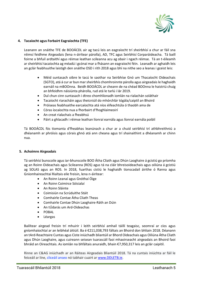

# **4. Tacaíocht agus Forbairt Eagraíochta (TFE)**

Leanann an snáithe TFE de BOOÁCDL air ag tacú leis an eagraíocht trí sheirbhísí a chur ar fáil sna réimsí feidhme Airgeadais (lena n-áirítear párolla), AD, TFC agus Seirbhísí Corparáideacha. Tá baill foirne a bhfuil ardtaithí agus réimse leathan scileanna acu ag obair i ngach réimse. Tá an t-éileamh ar sheirbhísí tacaíochta ag méadú i gcónaí mar a fhásann an eagraíocht féin. Leanadh ar aghaidh leis an gclár feabhsuithe laistigh den snáithe OSD i rith 2018 agus bhí na nithe seo a leanas i gceist leis:

- Méid suntasach oibre le tacú le saothar na Seirbhíse Gnó um Thacaíocht Oideachais (SGTO), atá á cur ar bun mar sheirbhís chomhroinnte párolla agus airgeadais le haghaidh earnáil na mBOOnna. Beidh BOOÁCDL ar cheann de na chéad BOOnna le haistriú chuig an bhfeidhm náisiúnta phárolla, rud atá le tarlú i lár 2019.
- Dul chun cinn suntasach i dtreo chomhlíonadh iomlán na rialachán soláthair
- Tacaíocht riaracháin agus theicniúil do mhórchlár tógála/caiptil an Bhoird
- Próiseas feabhsaithe earcaíochta atá níos éifeachtúla ó thaobh ama de
- Córas íocaíochta nua a fhorbairt d'fhoghlaimeoirí
- An creat rialachais a fheabhsú
- Páirt a ghlacadh i réimse leathan líonraí earnála agus líonraí earnála poiblí

Tá BOOÁCDL fós tiomanta d'fheabhas leanúnach a chur ar a chuid seirbhísí trí athbhreithniú a dhéanamh ar phróisis agus córais ghnó atá ann cheana agus trí shainaithint a dhéanamh ar chinn nua.

#### **5. Achoimre Airgeadais**

Tá seirbhísí bunscoile agus iar-bhunscoile BOO Átha Cliath agus Dhún Laoghaire á gcistiú go príomha ag an Roinn Oideachais agus Scileanna (ROS) agus tá na cláir bhreisoideachais agus oiliúna á gcistiú ag SOLAS agus an ROS. In 2018, fuarthas cistiú le haghaidh tionscadail áirithe ó Ranna agus Gníomhaireachtaí Rialtais eile freisin, lena n-áirítear:

- An Roinn Leanaí agus Gnóthaí Óige
- An Roinn Coimirce Sóisialaí
- An Roinn Sláinte
- Coimisiún na Scrúduithe Stáit
- Comhairle Contae Átha Cliath Theas
- Comhairle Contae Dhún Laoghaire-Ráth an Dúin
- An tÚdarás um Ard-Oideachas
- POBAL
- Léargas

Bailítear airgead freisin trí mhuirir i leith seirbhísí amhail táillí teagaisc, seomraí ar cíos agus gníomhaíochtaí ar an leibhéal áitiúil. Ba é €211,038,793 fáltais an Bhoird don bhliain 2018. Déanann an tArd-Reachtaire Cuntas agus Ciste iniúchadh bliantúil ar Bhord Oideachais agus Oiliúna Átha Cliath agus Dhún Laoghaire, agus cuireann seisean tuarascáil faoi mhaoirseacht airgeadais an Bhoird faoi bhráid an Oireachtais. As iomlán na bhfáltais anuraidh, bhain €7,950,317 leis an gclár caipitil.

Rinne an C&AG iniúchadh ar an Ráiteas Airgeadais Bliantúil 2018. Tá na cuntais iniúchta ar fáil le feiceáil ar líne, cliceáil anseo nó tabhair cuairt a[r www.DDLETB.ie.](http://www.ddletb.ie/)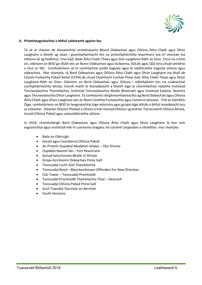

#### **6. Príomheagraíochtaí a bhfuil caidreamh againn leo**

Tá sé ar cheann de thosaíochtaí straitéiseacha Bhord Oideachais agus Oiliúna Átha Cliath agus Dhún Laoghaire a bheith ag obair i gcomhpháirtíocht leis na príomhpháirtithe leasmhara sna trí chontae ina mbíonn sé ag feidhmiú: Fine Gall, Baile Átha Cliath Theas agus Dún Laoghaire-Ráth an Dúin. Chun na críche sin, oibríonn an BOO go dlúth leis an Roinn Oideachais agus Scileanna, SOLAS agus QQI lena chuid seirbhísí a chur ar fáil. Comhoibríonn sé le comhlachtaí poiblí éagsúla agus le soláthraithe éagsúla oiliúna agus oideachais. Mar shampla, tá Bord Oideachais agus Oiliúna Átha Cliath agus Dhún Laoghaire ina bhall de Choistí Forbartha Pobail Áitiúil (CFPÁ) de chuid Chomhairlí Contae Fhine Gall, Átha Cliath Theas agus Dhún Laoghaire-Ráth an Dúin. Oibríonn an Bord Oideachais agus Oiliúna i ndlúthpháirt leis na cuideachtaí comhpháirtíochta áitiúla, chomh maith le hionadaíocht a bheith aige ar chomhlachtaí rialaithe Institiúid Teicneolaíochta Thamhlachta, Institiúid Teicneolaíochta Bhaile Bhlainséir agus Institiúid Ealaíne, Deartha agus Teicneolaíochta Dhún Laoghaire. Tá comhaontú idirghníomhaireachta ag Bord Oideachais agus Oiliúna Átha Cliath agus Dhún Laoghaire leis an Roinn Gnóthaí Fostaíochta agus Coimirce Sóisialaí. Tríd an tSeirbhís Óige, comhoibríonn an BOO le heagraíochtaí óige náisiúnta agus grúpaí óige áitiúla a bhfuil ionadaíocht acu sa cheantar. Déantar Oiliúint Phobail a chistiú trínár nIonaid Oiliúna i gcomhair Tionscnaimh Oiliúna Áitiúla, Ionaid Oiliúna Pobail agus sainsoláthraithe oiliúna.

In 2018, chomhoibrigh Bord Oideachais agus Oiliúna Átha Cliath agus Dhún Laoghaire le líon mór eagraíochtaí agus institiúidí eile trí uaireanta teagaisc nó cúnamh airgeadais a sholáthar, mar shampla:

- Baile an Oibricigh
- **•** Ionaid agus Ceardlanna Oiliúna Pobail
- An Príomh-Ospidéal Meabhair-Ghalar Dún Droma
- Ospidéal Naomh Íde Port Reachrann
- Aonad Sainchúraim Bhaile Uí Dhúda
- Grúpa Acmhainní Oideachais Fhine Gall
- Tionscadal Lucht Siúil Thamhlachta
- Tionscadal Bond Blanchardstown Offenders for New Direction
- Clár Tower Tionscadal Promhaidh
- Tionscadal Promhaidh Thamhlachta Thiar Deonach
- Tionscadal Oiliúna Pobail Fhine Gall
- Scoil Traenála Teicniúla an Aerchóir
- Youth Horizons.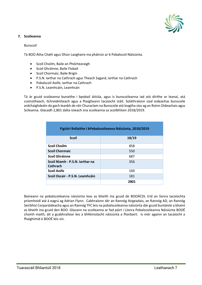

# **7. Scoileanna**

# Bunscoil

Tá BOO Átha Cliath agus Dhún Laoghaire ina phátrún ar 6 Pobalscoil Náisiúnta.

- **•** Scoil Choilm, Baile an Phóirtearaigh
- Scoil Ghráinne, Baile Fiobail
- Scoil Chormaic, Baile Brigín
- P.S.N. Iarthar na Cathrach agus Theach Sagard, Iarthar na Cathrach
- Pobalscoil Aoife, Iarthar na Cathrach
- P.S.N. Leamhcáin, Leamhcán

Tá ár gcuid scoileanna bunaithe i bpobail áitiúla, agus is bunscoileanna iad atá dírithe ar leanaí, atá cuimsitheach, ilchreidmheach agus a fhaigheann tacaíocht stáit. Soláthraíonn siad oideachas bunscoile ardchaighdeáin do gach leanbh de réir Churaclam na Bunscoile atá leagtha síos ag an Roinn Oideachais agus Scileanna. Glacadh 2,801 dalta isteach sna scoileanna sa scoilbhliain 2018/2019.

| Figiúirí Rollaithe i bPobalscoileanna Náisiúnta, 2018/2019 |       |  |
|------------------------------------------------------------|-------|--|
| <b>Scoil</b>                                               | 18/19 |  |
| <b>Scoil Choilm</b>                                        | 858   |  |
| <b>Scoil Chormaic</b>                                      | 550   |  |
| <b>Scoil Ghráinne</b>                                      | 687   |  |
| Scoil Niamh - P.S.N. Jarthar na<br>Cathrach                | 356   |  |
| <b>Scoil Aoife</b>                                         | 169   |  |
| Scoil Oscair - P.S.N. Leamhcáin                            | 181   |  |
|                                                            | 2801  |  |

Baineann na pobalscoileanna náisiúnta leas as bheith ina gcuid de BOOÁCDL tríd an líonra tacaíochta príomhoidí atá á eagrú ag Adrian Flynn. Cabhraíonn idir an Rannóg Airgeadais, an Rannóg AD, an Rannóg Seirbhísí Corparáideacha agus an Rannóg TFC leis na pobalscoileanna náisiúnta dár gcuid buntáiste a bhaint as bheith ina gcuid den BOO. Glacann na scoileanna ar fad páirt i Líonra Pobalscoileanna Náisiúnta BOOÉ chomh maith, áit a gcabhraítear leo a bhféiniúlacht náisiúnta a fhorbairt. Is mór againn an tacaíocht a fhaighimid ó BOOÉ leis sin.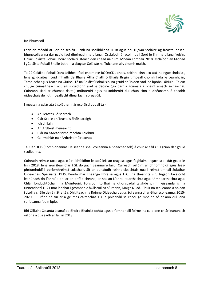

#### Iar-Bhunscoil

Lean an méadú ar líon na scoláirí i rith na scoilbhliana 2018 agus bhí 16,940 scoláire ag freastal ar iarbhunscoileanna dár gcuid faoi dheireadh na bliana. Osclaíodh ár scoil nua i Sord le linn na bliana freisin. Ghlac Coláiste Pobail Shoird scoláirí isteach den chéad uair i mí Mheán Fómhair 2018 Osclaíodh an tAonad i gColáiste Pobail Bhaile Lotrail, a dtugtar Coláiste na Tulchann air, chomh maith.

Tá 29 Coláiste Pobail Dara Leibhéal faoi choimirce BOOÁCDL anois, ceithre cinn acu atá ina ngaelcholáistí, lena gclúdaítear cuid mhaith de Bhaile Átha Cliath ó Bhaile Brigín timpeall chomh fada le Leamhcán, Tamhlacht agus Teach na Giúise. Tá na Coláistí Pobail sin ina gcuid dhílis den saol ina bpobail áitiúla. Tá cur chuige cuimsitheach acu agus cuidíonn siad le daoine óga barr a gcumais a bhaint amach sa tsochaí. Cuireann siad ar chumas daltaí, múinteoirí agus tuismitheoirí dul chun cinn a dhéanamh ó thaobh oideachais de i dtimpeallacht dhearfach, spreagúil.

I measc na gclár atá á soláthar inár gcoláistí pobail tá -

- An Teastas Sóisearach
- Clár Scoile an Teastais Shóisearaigh
- Idirbhliain
- An Ardteistiméireacht
- Clár na hArdteistiméireachta Feidhmí
- Gairmchlár na hArdteistiméireachta

Tá Clár DEIS (Comhionannas Deiseanna sna Scoileanna a Sheachadadh) á chur ar fáil i 10 gcinn dár gcuid scoileanna.

Cuireadh réimse tacaí agus cláir i bhfeidhm le tacú leis an teagasc agus foghlaim i ngach scoil dár gcuid le linn 2018, lena n-áirítear Clár FGL do gach ceannaire láir. Cuireadh oiliúint ar phríomhoidí agus leasphríomhoidí i bpríomhréimsí soláthair, áit ar bunaíodh roinnt cleachtais nua i réimsí amhail Soláthar Oideachais Speisialta, DEIS, Béarla mar Theanga Bhreise agus TFC. Ina theannta sin, tugadh tacaíocht leanúnach do líonraí a bhí ar an bhfód cheana, ar nós an Líonra litearthachta agus Uimhearthachta agus Chlár Ionduchtúcháin na Múinteoirí. Foilsíodh torthaí na dtionscadal taighde gnímh eiseamláirigh a rinneadh trí TL 21 mar leabhar i gcomhar le hOllscoil na hÉireann, Maigh Nuad. Chuir na scoileanna a bplean i dtoll a chéile de réir Straitéis Dhigiteach na Roinne Oideachais agus Scileanna d'Iar-Bhunscoileanna, 2015- 2020. Cuirfidh sé sin ar a gcumas caiteachas TFC a phleanáil sa chaoi go mbeidh sé ar aon dul lena spriocanna faoin bplean.

Bhí Oiliúint Cosanta Leanaí do Bhoird Bhainistíochta agus príomhbhaill foirne ina cuid den chlár leanúnach oiliúna a cuireadh ar fáil in 2018.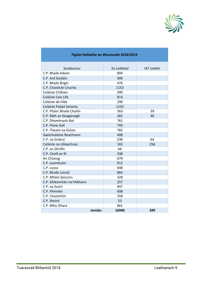

| Scoileanna:                | 2ú Leibhéal | <b>IAT</b> iarbhír |
|----------------------------|-------------|--------------------|
| C.P. Bhaile Adaim          | 894         |                    |
| C.P. Ard Giolláin          | 909         |                    |
| C.P. Bhaile Brigín         | 476         |                    |
| C.P. Chaisleán Cnucha      | 1153        |                    |
| Coláiste Chilliain         | 399         |                    |
| Coláiste Cois Life         | 814         |                    |
| Coláiste de híde           | 290         |                    |
| Coláiste Pobail Setanta    | 1103        |                    |
| C.P. Pháirc Bhaile Choilín | 563         | 39                 |
| C.P. Ráth an Deagánaigh    | 281         | 40                 |
| C.P. Dhomhnach Bat         | 761         |                    |
| C.P. Fhine Gall            | 793         |                    |
| C.P. Theach na Giúise      | 782         |                    |
| Gaelcholáiste Reachrann    | 408         |                    |
| C.P. na Gráinsí            | 230         | 64                 |
| Coláiste na nGlaschnoc     | 165         | 256                |
| C.P. an Ghrífín            | 66          |                    |
| C.P. Choill an Rí          | 338         |                    |
| An Chiseog                 | 679         |                    |
| C.P. Leamhcáin             | 912         |                    |
| C.P. Lusca                 | 648         |                    |
| C.P. Bhaile Lotrail        | 864         |                    |
| C.P. Mhóin Seiscinn        | 328         |                    |
| C.P. Ghleanntán na hAbhann | 257         |                    |
| C.P. na Sceirí             | 947         |                    |
| C.P. Fhinnéin              | 608         |                    |
| C.P. Chaoimhín             | 358         |                    |
| C.P. Shoird                | 53          |                    |
| C.P. Mhic Dhara            | 861         |                    |
| Iomlán                     | 16940       | 399                |

# **Figiúirí Rollaithe Iar-Bhunscoile 2018/2019**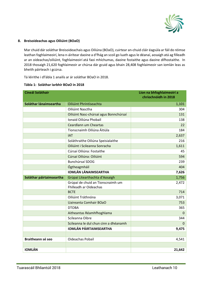

# **8. Breisoideachas agus Oiliúint (BOaO)**

Mar chuid dár soláthar Breisoideachais agus Oiliúna (BOaO), cuirtear an-chuid cláir éagsúla ar fáil do réimse leathan foghlaimeoirí, lena n-áirítear daoine a d'fhág an scoil go luath agus le déanaí, aosaigh atá ag filleadh ar an oideachas/oiliúint, foghlaimeoirí atá faoi mhíchumas, daoine fostaithe agus daoine dífhostaithe. In 2018 thosaigh 21,620 foghlaimeoir ar chúrsa dár gcuid agus bhain 28,408 foghlaimeoir san iomlán leas as bheith páirteach i gcúrsa.

Tá léirithe i dTábla 1 anailís ar ár soláthar BOaO in 2018.

| <b>Cineál Soláthair</b>  |                                        | Líon na bhfoghlaimeoirí a<br>chríochnóidh in 2018 |
|--------------------------|----------------------------------------|---------------------------------------------------|
|                          |                                        |                                                   |
| Soláthar lánaimseartha   | Oiliúint Phrintíseachta                | 1,101                                             |
|                          | Oiliúint Nasctha                       | 304                                               |
|                          | Oiliúint Nasc-chúrsaí agus Bonnchúrsaí | 131                                               |
|                          | Ionaid Oiliúna Phobail                 | 138                                               |
|                          | Ceardlann um Cheartas                  | 22                                                |
|                          | Tionscnaimh Oiliúna Áitiúla            | 184                                               |
|                          | <b>IAT</b>                             | 2,637                                             |
|                          | Soláthraithe Oiliúna Speisialaithe     | 216                                               |
|                          | Oiliúint i Scileanna Sonracha          | 1,611                                             |
|                          | Cúrsaí Oiliúna: Fostaithe              | 45                                                |
|                          | Cúrsaí Oiliúna: Oiliúint               | 594                                               |
|                          | Bunchúrsaí SDOG                        | 239                                               |
|                          | Ógtheagmháil                           | 404                                               |
|                          | <b>IOMLÁN LÁNAIMSEARTHA</b>            | 7,626                                             |
| Soláthar páirtaimseartha | Grúpaí Litearthachta d'Aosaigh         | 1,756                                             |
|                          | Grúpaí de chuid an Tionscnaimh um      | 2,472                                             |
|                          | Fhilleadh ar Oideachas                 |                                                   |
|                          | <b>BCTE</b>                            | 714                                               |
|                          | Oiliúint Tráthnóna                     | 3,071                                             |
|                          | <b>Uaireanta Comhair BOaO</b>          | 753                                               |
|                          | <b>DTOBA</b>                           | 365                                               |
|                          | Aitheantas Réamhfhoghlama              | $\Omega$                                          |
|                          | Scileanna Oibre                        | 344                                               |
|                          | Scileanna le dul chun cinn a dhéanamh  | $\Omega$                                          |
|                          | <b>IOMLÁN PÁIRTAIMSEARTHA</b>          | 9,475                                             |
|                          |                                        |                                                   |
| Braitheann sé seo        | Oideachas Pobail                       | 4,541                                             |
|                          |                                        |                                                   |
| <b>IOMLÁN</b>            |                                        | 21,642                                            |

#### **Tábla 1: Soláthar Iarbhír BOaO in 2018**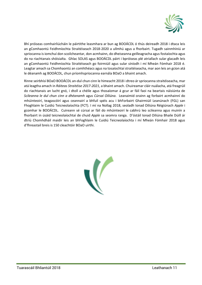

Bhí próiseas comhairliúcháin le páirtithe leasmhara ar bun ag BOOÁCDL ó thús deireadh 2018 i dtaca leis an gComhaontú Feidhmíochta Straitéiseach 2018-2020 a ullmhú agus a fhorbairt. Tugadh sainmhíniú ar spriocanna is iomchuí don scoilcheantar, don acmhainn, do dheiseanna geilleagracha agus fostaíochta agus do na riachtanais shóisialta. Ghlac SOLAS agus BOOÁCDL páirt i bpróiseas plé atriallach sular glacadh leis an gComhaontú Feidhmíochta Straitéiseach go foirmiúil agus sular síníodh i mí Mheán Fómhair 2018 é. Leagtar amach sa Chomhaontú an comhthéacs agus na tosaíochtaí straitéiseacha, mar aon leis an gcion atá le déanamh ag BOOÁCDL, chun príomhspriocanna earnála BOaO a bhaint amach.

Rinne seirbhísí BOaO BOOÁCDL an-dul chun cinn le himeacht 2018 i dtreo árspriocanna straitéiseacha, mar atá leagtha amach in *Ráiteas Straitéise 2017-2021*, a bhaint amach. Chuireamar cláir nuálacha, atá freagrúil do riachtanais an lucht gnó, i dtoll a chéile agus thosaíomar á gcur ar fáil faoi na beartais náisiúnta de *Scileanna le dul chun cinn a dhéanamh* agus *Cúrsaí Oiliúna*. Leanaimid orainn ag forbairt acmhainní do mhúinteoirí, teagascóirí agus ceannairí a bhfuil spéis acu i bhForbairt Ghairmiúil Leanúnach (FGL) san Fhoghlaim le Cuidiú Teicneolaíochta (FCT). I mí na Nollag 2018, seoladh Ionad Oiliúna Réigiúnach *Apple* i gcomhar le BOOÁCDL. Cuireann sé cúrsaí ar fáil do mhúinteoirí le cabhrú leo scileanna agus muinín a fhorbairt in úsáid teicneolaíochtaí de chuid *Apple* sa seomra ranga. D'óstáil Ionad Oiliúna Bhaile Dúill ár dtríú Chomhdháil maidir leis an bhFoghlaim le Cuidiú Teicneolaíochta i mí Mheán Fómhair 2018 agus d'fhreastail breis is 150 cleachtóir BOaO uirthi.

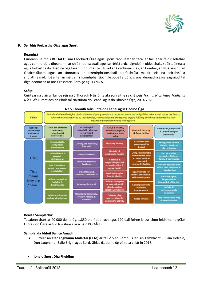

#### **9. Seirbhís Forbartha Óige agus Spórt**

#### **Réamhrá**

Cuireann Seirbhís BOOÁCDL um Fhorbairt Óige agus Spóirt raon leathan tacaí ar fáil lenar féidir soláthar agus comhordú a dhéanamh ar chláir, tionscadail agus seirbhísí ardchaighdeáin oideachais, spóirt, áineasa agus forbartha do dhaoine óga faoi mhíbhuntáiste. Is iad an Comhionannas, an Comhar, an Nuálaíocht, an Ghairmiúlacht agus an tIonracas ár dtreoirphrionsabail oibríochtúla maidir leis na seirbhísí a sholáthraímid. Déantar an méid sin i gcomhpháirtíocht le pobail áitiúla, grúpaí deonacha agus eagraíochtaí óige deonacha ar nós Crosscare, Foróige agus YMCA.

# **Scóip:**

Cuirtear na cláir ar fáil de réir na 5 Thoradh Náisiúnta atá sonraithe sa cháipéis *Torthaí Níos Fearr Todhchaí Níos Gile* (Creatlach an Pholasaí Náisiúnta do Leanaí agus do Dhaoine Óga, 2014-2020)



# **Na 5 Thoradh Náisiúnta do Leanaí agus Daoine Óga**

#### **Bearta Samplacha:**

Tacaíonn thart ar 40,000 duine óg, 1,850 oibrí deonach agus 190 ball foirne le cur chun feidhme na gClár Oibre don Ógra ar fud limistéar riaracháin BOOÁCDL.

#### **Samplaí dá bhfuil Bainte Amach**

- Cuirtear **an Clár Foghlama Malartaí (CFM) ar fáil ó 5 shuíomh**, is iad sin Tamhlacht, Cluain Dolcáin, Dún Laoghaire, Baile Brigín agus Sord. Ghlac 61 duine óg páirt sa chlár in 2018.
- **Ionaid Spórt Dhá Fheidhm**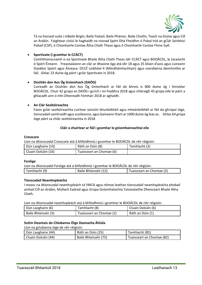

Tá na hionaid suite i mBaile Brigín, Baile Fiobail, Baile Phámar, Baile Choilín, Teach na Giúise agus Cill an Ardáin. Faightear cistiú le haghaidh na nIonad Spórt Dhá Fheidhm ó Pobal tríd an gClár Seirbhísí Pobail (CSP), ó Chomhairle Contae Átha Cliath Theas agus ó Chomhairle Contae Fhine Gall.

# **Sportivate (i gcomhar le CCÁCT)**

Comhthionscnamh is ea Sportivate Bhaile Átha Cliath Theas idir CCÁCT agus BOOÁCDL, le tacaíocht ó Spórt Éireann. Freastalaíonn an clár ar dhaoine óga atá idir 18 agus 25 bliain d'aois agus cuireann Staidéar Spóirt agus Áineasa: DCCÉ Leibhéal 4 (Mórdhámhachtain) agus ceardlanna deimhnithe ar fáil. Ghlac 23 duine óg páirt i gclár Sportivate in 2018.

# **Dúshlán don Aos Óg Gníomhach (DAÓG)**

Cuireadh an Dúshlán don Aos Óg Gníomhach ar fáil do bhreis is 800 duine óg i limistéar BOOÁCDL. Chuir 42 grúpa an DAÓG i gcrích i mí Feabhra 2018 agus chláraigh 45 grúpa eile le páirt a ghlacadh ann ó mhí Dheireadh Fómhair 2018 ar aghaidh.

# **An Clár Seoltóireachta**

Faoin gclár seoltóireachta cuirtear seisiúin bhunleibhéil agus mheánleibhéil ar fáil do ghrúpaí óige, tionscadail samhraidh agus scoileanna, agus baineann thart ar 1000 duine óg leas as. Ghlac 64 grúpa óige páirt sa chlár seoltóireachta in 2018

# **Cláir a chuirtear ar fáil i gcomhar le gníomhaireachtaí eile**

#### **Crosscare**

Lion na dtionscadal Crosscare atá á bhfeidhmiú i gcomhar le BOOÁCDL de réir réigiúin:

| Dún Laoghaire (14)  | Ráth an Dúin (8)          | Tamhlacht (2) |
|---------------------|---------------------------|---------------|
| Cluain Dolcáin (16) | Tuaisceart an Chontae (6) |               |

#### **Foróige**

| Lion na dtionscadal Foróige atá á bhfeidhmiú i gcomhar le BOOÁCDL de réir réigiúin: |                       |                           |  |
|-------------------------------------------------------------------------------------|-----------------------|---------------------------|--|
| Tamhlacht (9)                                                                       | Baile Bhlainséir (12) | Tuaisceart an Chontae (3) |  |

#### **Tionscadail Neamhspleácha**

I measc na dtionscadal neamhspleách tá YMCA agus réimse leathan tionscadail neamhspleácha phobail amhail Cill an Ardáin, Mullach Eadrad agus Grúpa Gníomhaíochta Taistealaithe Dheisceart Bhaile Átha Cliath.

Lion na dtionscadal neamhspleách atá á bhfeidhmiú i gcomhar le BOOÁCDL de réir réigiúin:

| Dún Laoghaire (6)    | Tamhlacht (8)             | Cluain Dolcáin (6) |
|----------------------|---------------------------|--------------------|
| Baile Bhlainséir (3) | Tuaisceart an Chontae (2) | Ráth an Dúin (1)   |

#### **Scéim Deontais do Chlubanna Óige Deonacha Áitiúla**

Líon na gclubanna óige de réir réigiúin:

| Dún Laoghaire (44)  | Ráth an Dúin (25)     | Tamhlacht (85)             |
|---------------------|-----------------------|----------------------------|
| Cluain Dolcáin (44) | Baile Bhlainséir (75) | Tuaisceart an Chontae (82) |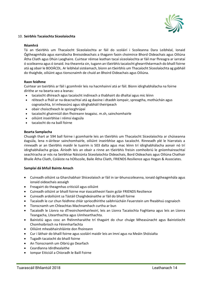

# 10. **Seirbhís Tacaíochta Síceolaíochta**

#### **Réamhrá**

Tá an tSeirbhís um Thacaíocht Síceolaíochta ar fáil do scoláirí i Scoileanna Dara Leibhéal, Ionaid Ógtheagmhála agus earnálacha Breisoideachais a thagann faoin choimirce Bhord Oideachais agus Oiliúna Átha Cliath agus Dhún Laoghaire. Cuirtear réimse leathan tacaí síceolaíochta ar fáil mar fhreagra ar iarrataí ó scoileanna agus ó ionaid. Ina theannta sin, tugann an tSeirbhís tacaíocht ghearrthéarmach do bhaill foirne atá ag obair le BOOÁCDL. Ar leibhéal sistéamach, bíonn an tSeirbhís um Thacaíocht Síceolaíochta ag gabháil do thaighde, oiliúint agus tionscnaimh de chuid an Bhoird Oideachais agus Oiliúna.

# **Raon feidhme**

Cuirtear an tseirbhís ar fáil i gcomhréir leis na hacmhainní atá ar fáil. Bíonn idirghabhálacha na foirne dírithe ar na bearta seo a leanas:

- tacaíocht dhíreach agus tacaíocht indíreach a thabhairt do dhaltaí agus mic léinn
- réiteach a fháil ar na deacrachtaí atá ag daoine i dtaobh iompair, spreagtha, mothúchán agus cognaíochta, trí mheasúnú agus idirghabháil theiripeach
- obair choisctheach le spriocghrúpaí
- tacaíocht ghairmiúil don fhoireann teagaisc. m.sh, sainchomhairle
- oiliúint inseirbhíse i réimsí éagsúla
- tacaíocht do na baill foirne

#### **Bearta Samplacha**

Chuaigh thart ar 594 ball foirne i gcomhairle leis an tSeirbhís um Thacaíocht Síceolaíochta ar chúiseanna éagsúla, lena n-áirítear sainchomhairle, oiliúint inseirbhíse agus tacaíocht. Rinneadh plé le hiarratais a rinneadh ar an tSeirbhís maidir le tuairim is 503 dalta agus mac léinn trí idirghabhálacha aonair nó trí idirghabhálacha grúpa. Áiríodh leis an obair a rinne an tSeirbhís freisin comhoibriú le gníomhaireachtaí seachtracha ar nós na Seirbhíse Náisiúnta Síceolaíochta Oideachais, Bord Oideachais agus Oiliúna Chathair Bhaile Átha Cliath, Coláiste na hOllscoile, Baile Átha Cliath, FRIENDS Resilience agus Hogan & Associates.

#### **Samplaí dá bhfuil Bainte Amach**

- Cuireadh oiliúint sa Gharchabhair Shíceolaíoch ar fáil in iar-bhunscoileanna, ionaid ógtheagmhála agus ionaid oideachais aosaigh
- Freagairt do theagmhas criticiúil agus oiliúint
- Cuireadh oiliúint ar bhaill foirne mar éascaitheoirí faoin gclár FRIENDS Resilience
- Cuireadh ardoiliúint sa Tástáil Chaighdeánaithe ar fáil do bhaill foirne
- Tacaíodh le cur chun feidhme chlár spriocdhírithe saibhriúcháin Feuerstein um fheabhsú cognaíoch
- Tionscnamh um Chleachtas Machnamhach curtha ar bun
- Tacaíodh le Líonra na dTreoirchomhairleoirí, leis an Líonra Tacaíochta Foghlama agus leis an Líonra Teangacha, Litearthachta agus Uimhearthachta.
- Bainistiú agus cosc an fhéinmharaithe trí thagairt do chur chuige Mheasúnacht agus Bainistíocht Chomhoibríoch na Féinmharfachta
- Oiliúint mheabhairshláinte don fhoireann
- Cur i láthair do bhaill foirne agus scoláirí maidir leis an Imní agus na Meáin Shóisialta
- Tugadh tacaíocht do bhaill foirne
- An Tionscnamh um Oibriú go Dearfach
- Ceardlanna Idirdhealaithe
- Iompar Eiticiúil a Chíoradh le Baill Foirne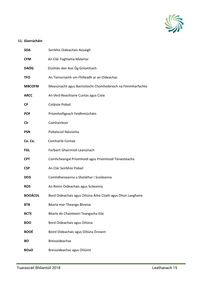

# **11. Giorrúcháin**

| <b>SOA</b>     | Seirbhís Oideachais Aosaigh                                  |
|----------------|--------------------------------------------------------------|
| <b>CFM</b>     | An Clár Foghlama Malartaí                                    |
| <b>DAÓG</b>    | Dúshlán don Aos Óg Gníomhach                                 |
| <b>TFO</b>     | An Tionscnamh um Fhilleadh ar an Oideachas                   |
| <b>MBCOFM</b>  | Measúnacht agus Bainistíocht Chomhoibríoch na Féinmharfachta |
| <b>ARCC</b>    | An tArd-Reachtaire Cuntas agus Ciste                         |
| <b>CP</b>      | Coláiste Pobail                                              |
| <b>POF</b>     | Príomhoifigeach Feidhmiúcháin                                |
| Clr            | Comhairleoir                                                 |
| <b>PSN</b>     | Pobalscoil Náisiúnta                                         |
| Co. Co.        | <b>Comhairle Contae</b>                                      |
| <b>FGL</b>     | Forbairt Ghairmiúil Leanúnach                                |
| <b>CPT</b>     | Comhcheangal Príomhoidí agus Príomhoidí Tánaisteacha         |
| <b>CSP</b>     | An Clár Seirbhísí Pobail                                     |
| <b>DEIS</b>    | Comhdheiseanna a Sholáthar i Scoileanna                      |
| <b>ROS</b>     | An Roinn Oideachais agus Scileanna                           |
| <b>BOOÁCDL</b> | Bord Oideachais agus Oiliúna Átha Cliath agus Dhún Laoghaire |
| <b>BTB</b>     | Béarla mar Theanga Bhreise                                   |
| <b>BCTE</b>    | Béarla do Chainteoirí Teangacha Eile                         |
| <b>BOO</b>     | Bord Oideachais agus Oiliúna                                 |
| <b>BOOÉ</b>    | Boird Oideachais agus Oiliúna Éireann                        |
| <b>BO</b>      | <b>Breisoideachas</b>                                        |
| <b>BOaO</b>    | Breisoideachas agus Oiliúint                                 |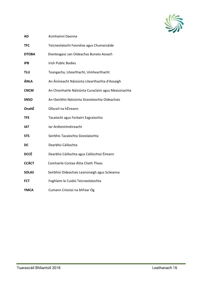

| <b>AD</b>    | Acmhainní Daonna                                   |
|--------------|----------------------------------------------------|
| <b>TFC</b>   | Teicneolaíocht Faisnéise agus Chumarsáide          |
| <b>DTOBA</b> | Dianteagasc san Oideachas Bunata Aosach            |
| <b>IPB</b>   | <b>Irish Public Bodies</b>                         |
| TLU          | Teangacha, Litearthacht, Uimhearthacht             |
| ÁNLA         | An Áisíneacht Náisiúnta Litearthachta d'Aosaigh    |
| <b>CNCM</b>  | An Chomhairle Náisiúnta Curaclaim agus Measúnachta |
| <b>SNSO</b>  | An tSeirbhís Náisiúnta Síceolaíochta Oideachais    |
| OnahÉ        | Ollscoil na hÉireann                               |
| <b>TFE</b>   | Tacaíocht agus Forbairt Eagraíochta                |
| <b>IAT</b>   | Iar-Ardteistiméireacht                             |
| <b>STS</b>   | Seirbhís Tacaíochta Síceolaíochta                  |
| DC           | Dearbhú Cáilíochta                                 |
| <b>DCCÉ</b>  | Dearbhú Cáilíochta agus Cáilíochtaí Éireann        |
| <b>CCÁCT</b> | Comhairle Contae Átha Cliath Theas                 |
| <b>SOLAS</b> | Seirbhísí Oideachais Leanúnaigh agus Scileanna     |
| <b>FCT</b>   | Foghlaim le Cuidiú Teicneolaíochta                 |
| <b>YMCA</b>  | Cumann Críostaí na bhFear Óg                       |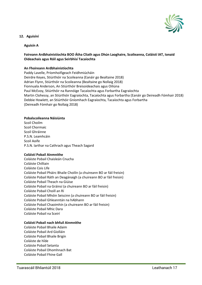

# **12. Aguisíní**

#### **Aguisín A**

# **Foireann Ardbhainistíochta BOO Átha Cliath agus Dhún Laoghaire, Scoileanna, Coláistí IAT, Ionaid Oideachais agus Róil agus Seirbhísí Tacaíochta**

#### **An Fhoireann Ardbhainistíochta**

Paddy Lavelle, Príomhoifigeach Feidhmiúcháin Deirdre Keyes, Stiúrthóir na Scoileanna (Eanáir go Bealtaine 2018) Adrian Flynn, Stiúrthóir na Scoileanna (Bealtaine go Nollaig 2018) Fionnuala Anderson, An Stiúrthóir Breisoideachais agus Oiliúna Paul McEvoy, Stiúrthóir na Rannóige Tacaíochta agus Forbartha Eagraíochta Martin Clohessy, an Stiúrthóir Eagraíochta, Tacaíochta agus Forbartha (Eanáir go Deireadh Fómhair 2018) Debbie Howlett, an Stiúrthóir Gníomhach Eagraíochta, Tacaíochta agus Forbartha (Deireadh Fómhair go Nollaig 2018)

#### **Pobalscoileanna Náisiúnta**

Scoil Choilm Scoil Chormaic Scoil Ghráinne P.S.N. Leamhcáin Scoil Aoife P.S.N. Iarthar na Cathrach agus Theach Sagard

#### **Coláistí Pobail Ainmnithe**

Coláiste Pobail Chaisleán Cnucha Coláiste Chilliain Coláiste Cois Life Coláiste Pobail Pháirc Bhaile Choilín (a chuireann BO ar fáil freisin) Coláiste Pobail Ráth an Deagánaigh (a chuireann BO ar fáil freisin) Coláiste Pobail Theach na Giúise Coláiste Pobail na Gráinsí (a chuireann BO ar fáil freisin) Coláiste Pobail Choill an Rí Coláiste Pobail Mhóin Seiscinn (a chuireann BO ar fáil freisin) Coláiste Pobail Ghleanntán na hAbhann Coláiste Pobail Chaoimhín (a chuireann BO ar fáil freisin) Coláiste Pobail Mhic Dara Coláiste Pobail na Sceirí

# **Coláistí Pobail nach bhfuil Ainmnithe**

Coláiste Pobail Bhaile Adaim Coláiste Pobail Ard Giolláin Coláiste Pobail Bhaile Brigín Coláiste de hÍde Coláiste Pobail Setanta Coláiste Pobail Dhomhnach Bat Coláiste Pobail Fhine Gall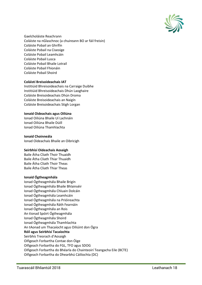

Gaelcholáiste Reachrann Coláiste na nGlaschnoc (a chuireann BO ar fáil freisin) Coláiste Pobail an Ghrífín Coláiste Pobail na Ciseoige Coláiste Pobail Leamhcáin Coláiste Pobail Lusca Coláiste Pobail Bhaile Lotrail Coláiste Pobail Fhionáin Coláiste Pobail Shoird

# **Coláistí Breisoideachais IAT**

Institiúid Bhreisoideachais na Carraige Duibhe Institiúid Bhreisoideachais Dhún Laoghaire Coláiste Breisoideachais Dhún Droma Coláiste Breisoideachais an Naigín Coláiste Breisoideachais Stigh Lorgan

#### **Ionaid Oideachais agus Oiliúna**

Ionad Oiliúna Bhaile Uí Lachnáin Ionad Oiliúna Bhaile Dúill Ionad Oiliúna Thamhlachta

# **Ionaid Choinneála**

Ionad Oideachais Bhaile an Oibricigh

#### **Seirbhísí Oideachais Aosaigh**

Baile Átha Cliath Thoir Thuaidh Baile Átha Cliath Thiar Thuaidh Baile Átha Cliath Thoir Theas Baile Átha Cliath Thiar Theas

#### **Ionaid Ógtheagmhála**

Ionad Ógtheagmhála Bhaile Brigín Ionad Ógtheagmhála Bhaile Bhlainséir Ionad Ógtheagmhála Chluain Dolcáin Ionad Ógtheagmhála Leamhcáin Ionad Ógtheagmhála na Prióireachta Ionad Ógtheagmhála Ráth Fearnáin Ionad Ógtheagmhála an Rois An tIonad Spóirt Ógtheagmhála Ionad Ógtheagmhála Shoird Ionad Ógtheagmhála Thamhlachta An tAonad um Thacaíocht agus Oiliúint don Ógra **Róil agus Seirbhísí Tacaíochta** Seirbhís Treorach d'Aosaigh Oifigeach Forbartha Contae don Óige Oifigeach Forbartha do FGL, TFO agus SDOG Oifigeach Forbartha do Bhéarla do Chainteoirí Teangacha Eile (BCTE) Oifigeach Forbartha do Dhearbhú Cáilíochta (DC)